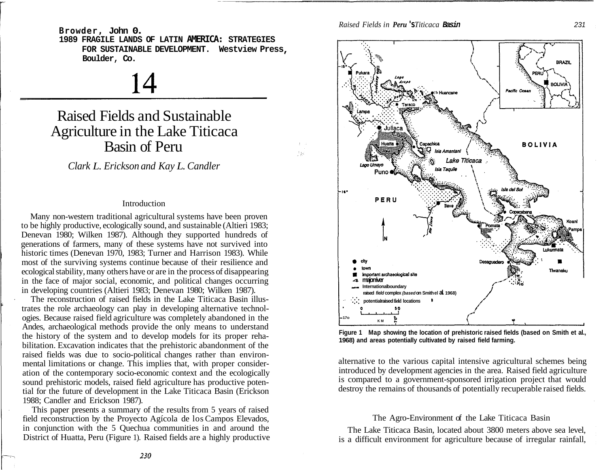**Browder, John 0.**

**1989 FRAGILE LANDS OF LATIN AMERICA: STRATEGIES FOR SUSTAINABLE DEVELOPMENT. Westview Press Boulder, Co.** 

14

# Raised Fields and Sustainable Agriculture in the Lake Titicaca Basin of Peru

*Clark L. Erickson and Kay L. Candler* 

#### Introduction

Many non-western traditional agricultural systems have been proven to be highly productive, ecologically sound, and sustainable (Altieri 1983; Denevan 1980; Wilken 1987). Although they supported hundreds of generations of farmers, many of these systems have not survived into historic times (Denevan 1970, 1983; Turner and Harrison 1983). While most of the surviving systems continue because of their resilience and ecological stability, many others have or are in the process of disappearing in the face of major social, economic, and political changes occurring in developing countries (Altieri 1983; Denevan 1980; Wilken 1987).

The reconstruction of raised fields in the Lake Titicaca Basin illustrates the role archaeology can play in developing alternative technologies. Because raised field agriculture was completely abandoned in the Andes, archaeological methods provide the only means to understand the history of the system and to develop models for its proper rehabilitation. Excavation indicates that the prehistoric abandonment of the raised fields was due to socio-political changes rather than environmental limitations or change. This implies that, with proper consideration of the contemporary socio-economic context and the ecologically sound prehistoric models, raised field agriculture has productive potential for the future of development in the Lake Titicaca Basin (Erickson 1988; Candler and Erickson 1987).

This paper presents a summary of the results from 5 years of raised field reconstruction by the Proyecto Agícola de los Campos Elevados, in conjunction with the 5 Quechua communities in and around the District of Huatta, Peru (Figure 1). Raised fields are a highly productive *Raised Fields in Peru* **'s** *Titicaca* **Basin** 231

t ya



**Figure 1 Map showing the location of prehistoric raised fields (based on Smith et al., 1968) and areas potentially cultivated by raised field farming.** 

alternative to the various capital intensive agricultural schemes being introduced by development agencies in the area. Raised field agriculture is compared to a government-sponsored irrigation project that would destroy the remains of thousands of potentially recuperable raised fields.

# The Agro-Environment of the Lake Titicaca Basin

The Lake Titicaca Basin, located about 3800 meters above sea level, is a difficult environment for agriculture because of irregular rainfall,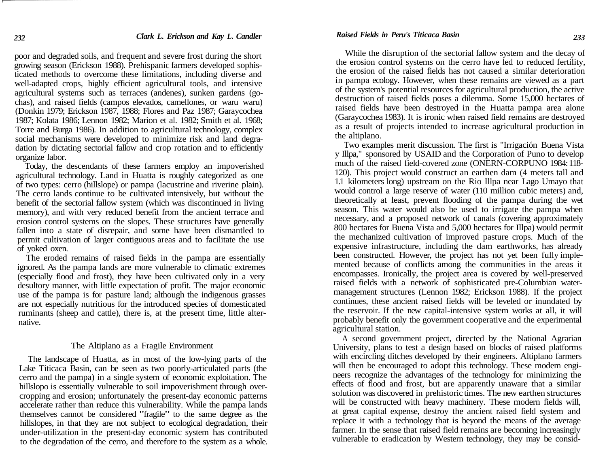poor and degraded soils, and frequent and severe frost during the short growing season (Erickson 1988). Prehispanic farmers developed sophisticated methods to overcome these limitations, including diverse and well-adapted crops, highly efficient agricultural tools, and intensive agricultural systems such as terraces (andenes), sunken gardens (gochas), and raised fields (campos elevados, camellones, or waru waru) (Donkin 1979; Erickson 1987, 1988; Flores and Paz 1987; Garaycochea 1987; Kolata 1986; Lennon 1982; Marion et al. 1982; Smith et al. 1968; Torre and Burga 1986). In addition to agricultural technology, complex social mechanisms were developed to minimize risk and land degradation by dictating sectorial fallow and crop rotation and to efficiently organize labor.

Today, the descendants of these farmers employ an impoverished agricultural technology. Land in Huatta is roughly categorized as one of two types: cerro (hillslope) or pampa (lacustrine and riverine plain). The cerro lands continue to be cultivated intensively, but without the benefit of the sectorial fallow system (which was discontinued in living memory), and with very reduced benefit from the ancient terrace and erosion control systems on the slopes. These structures have generally fallen into a state of disrepair, and some have been dismantled to permit cultivation of larger contiguous areas and to facilitate the use of yoked oxen.

The eroded remains of raised fields in the pampa are essentially ignored. As the pampa lands are more vulnerable to climatic extremes (especially flood and frost), they have been cultivated only in a very desultory manner, with little expectation of profit. The major economic use of the pampa is for pasture land; although the indigenous grasses are not especially nutritious for the introduced species of domesticated ruminants (sheep and cattle), there is, at the present time, little alternative.

#### The Altiplano as a Fragile Environment

The landscape of Huatta, as in most of the low-lying parts of the Lake Titicaca Basin, can be seen as two poorly-articulated parts (the cerro and the pampa) in a single system of economic exploitation. The hillslopo is essentially vulnerable to soil impoverishment through overcropping and erosion; unfortunately the present-day economic patterns accelerate rather than reduce this vulnerability. While the pampa lands themselves cannot be considered "fragile" to the same degree as the hillslopes, in that they are not subject to ecological degradation, their under-utilization in the present-day economic system has contributed to the degradation of the cerro, and therefore to the system as a whole.

While the disruption of the sectorial fallow system and the decay of the erosion control systems on the cerro have led to reduced fertility, the erosion of the raised fields has not caused a similar deterioration in pampa ecology. However, when these remains are viewed as a part of the system's potential resourcesfor agricultural production, the active destruction of raised fields poses a dilemma. Some 15,000 hectares of raised fields have been destroyed in the Huatta pampa area alone (Garaycochea 1983). It is ironic when raised field remains are destroyed as a result of projects intended to increase agricultural production in the altiplano.

Two examples merit discussion. The first is "Irrigación Buena Vista y Illpa," sponsored by USAID and the Corporation of Puno to develop much of the raised field-covered zone (ONERN-CORPUNO 1984:118- 120). This project would construct an earthen dam (4 meters tall and 1.1 kilometers long) upstream on the Rio Illpa near Lago Umayo that would control a large reserve of water (110 million cubic meters) and, theoretically at least, prevent flooding of the pampa during the wet season. This water would also be used to irrigate the pampa when necessary, and a proposed network of canals (covering approximately 800 hectares for Buena Vista and 5,000 hectares for Illpa) would permit the mechanized cultivation of improved pasture crops. Much of the expensive infrastructure, including the dam earthworks, has already been constructed. However, the project has not yet been fully implemented because of conflicts among the communities in the areas it encompasses. Ironically, the project area is covered by well-preserved raised fields with a network of sophisticated pre-Columbian watermanagement structures (Lennon 1982; Erickson 1988). If the project continues, these ancient raised fields will be leveled or inundated by the reservoir. If the new capital-intensive system works at all, it will probably benefit only the government cooperative and the experimental agricultural station.

A second government project, directed by the National Agrarian University, plans to test a design based on blocks of raised platforms with encircling ditches developed by their engineers. Altiplano farmers will then be encouraged to adopt this technology. These modem engineers recognize the advantages of the technology for minimizing the effects of flood and frost, but are apparently unaware that a similar solution was discovered in prehistoric times. The new earthen structures will be constructed with heavy machinery. These modern fields will, at great capital expense, destroy the ancient raised field system and replace it with a technology that is beyond the means of the average farmer. In the sense that raised field remains are becoming increasingly vulnerable to eradication by Western technology, they may be consid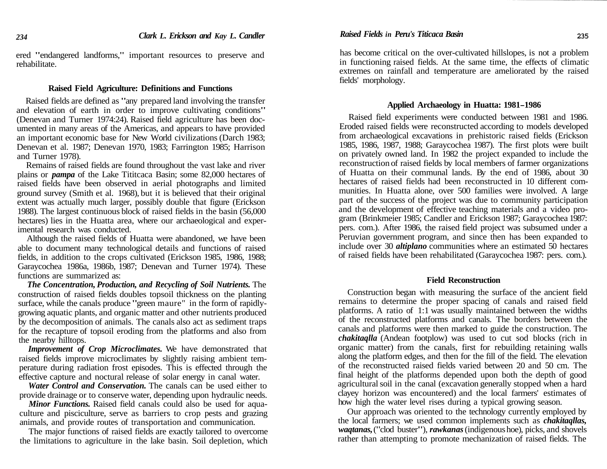ered "endangered landforms," important resources to preserve and rehabilitate.

### **Raised Field Agriculture: Definitions and Functions**

Raised fields are defined as "any prepared land involving the transfer and elevation of earth in order to improve cultivating conditions" (Denevan and Turner 1974:24). Raised field agriculture has been documented in many areas of the Americas, and appears to have provided an important economic base for New World civilizations (Darch 1983; Denevan et al. 1987; Denevan 1970, 1983; Farrington 1985; Harrison and Turner 1978).

Remains of raised fields are found throughout the vast lake and river plains or *pampa* of the Lake Tititcaca Basin; some 82,000 hectares of raised fields have been observed in aerial photographs and limited ground survey (Smith et al. 1968), but it is believed that their original extent was actually much larger, possibly double that figure (Erickson 1988). The largest continuous block of raised fields in the basin (56,000 hectares) lies in the Huatta area, where our archaeological and experimental research was conducted.

Although the raised fields of Huatta were abandoned, we have been able to document many technological details and functions of raised fields, in addition to the crops cultivated (Erickson 1985, 1986, 1988; Garaycochea 1986a, 1986b, 1987; Denevan and Turner 1974). These functions are summarized as:

*The Concentration, Production, and Recycling of Soil Nutrients.* The construction of raised fields doubles topsoil thickness on the planting surface, while the canals produce "green maure" in the form of rapidlygrowing aquatic plants, and organic matter and other nutrients produced by the decomposition of animals. The canals also act as sediment traps for the recapture of topsoil eroding from the platforms and also from the nearby hilltops.

*Improvement of Crop Microclimates.* We have demonstrated that raised fields improve microclimates by slightly raising ambient temperature during radiation frost episodes. This is effected through the effective capture and noctural release of solar energy in canal water.

*Water Control and Conservation.* The canals can be used either to provide drainage or to conserve water, depending upon hydraulic needs.

*Minor Functions.* Raised field canals could also be used for aquaculture and pisciculture, serve as barriers to crop pests and grazing animals, and provide routes of transportation and communication.

The major functions of raised fields are exactly tailored to overcome the limitations to agriculture in the lake basin. Soil depletion, which *Raised Fields in Peru's Titicaca Basin* **235**

has become critical on the over-cultivated hillslopes, is not a problem in functioning raised fields. At the same time, the effects of climatic extremes on rainfall and temperature are ameliorated by the raised fields' morphology.

#### **Applied Archaeology in Huatta: 1981-1986**

Raised field experiments were conducted between 1981 and 1986. Eroded raised fields were reconstructed according to models developed from archaeological excavations in prehistoric raised fields (Erickson 1985, 1986, 1987, 1988; Garaycochea 1987). The first plots were built on privately owned land. In 1982 the project expanded to include the reconstruction of raised fields by local members of farmer organizations of Huatta on their communal lands. By the end of 1986, about 30 hectares of raised fields had been reconstructed in 10 different communities. In Huatta alone, over 500 families were involved. A large part of the success of the project was due to community participation and the development of effective teaching materials and a video program (Brinkmeier 1985; Candler and Erickson 1987; Garaycochea 1987: pers. com.). After 1986, the raised field project was subsumed under a Peruvian government program, and since then has been expanded to include over 30 *altiplano* communities where an estimated 50 hectares of raised fields have been rehabilitated (Garaycochea 1987: pers. com.).

### **Field Reconstruction**

Construction began with measuring the surface of the ancient field remains to determine the proper spacing of canals and raised field platforms. A ratio of 1:1 was usually maintained between the widths of the reconstructed platforms and canals. The borders between the canals and platforms were then marked to guide the construction. The *chakitaqlla* (Andean footplow) was used to cut sod blocks (rich in organic matter) from the canals, first for rebuilding retaining walls along the platform edges, and then for the fill of the field. The elevation of the reconstructed raised fields varied between 20 and 50 cm. The final height of the platforms depended upon both the depth of good agriculturalsoil in the canal (excavation generally stopped when a hard clayey horizon was encountered) and the local farmers' estimates of how high the water level rises during a typical growing season.

Our approach was oriented to the technology currently employed by the local farmers; we used common implements such as *chakitaqllas, waqtanas,*("clod buster"), *rawkanas*(indigenoushoe), picks, and shovels rather than attempting to promote mechanization of raised fields. The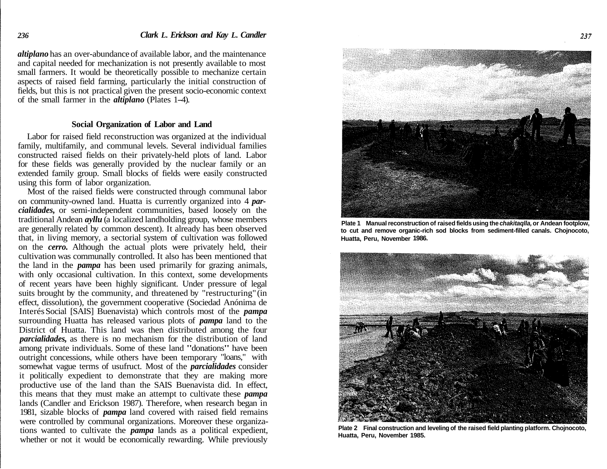*altiplano* has an over-abundance of available labor, and the maintenance and capital needed for mechanization is not presently available to most small farmers. It would be theoretically possible to mechanize certain aspects of raised field farming, particularly the initial construction of fields, but this is not practical given the present socio-economic context of the small farmer in the *altiplano* (Plates 1-4).

#### **Social Organization of Labor and Land**

Labor for raised field reconstruction was organized at the individual family, multifamily, and communal levels. Several individual families constructed raised fields on their privately-held plots of land. Labor for these fields was generally provided by the nuclear family or an extended family group. Small blocks of fields were easily constructed using this form of labor organization.

Most of the raised fields were constructed through communal labor on community-owned land. Huatta is currently organized into 4 *parcialidades,* or semi-independent communities, based loosely on the traditional Andean *ayllu* (a localized landholding group, whose members are generally related by common descent). It already has been observed that, in living memory, a sectorial system of cultivation was followed on the *cerro.* Although the actual plots were privately held, their cultivation was communally controlled. It also has been mentioned that the land in the *pampa* has been used primarily for grazing animals, with only occasional cultivation. In this context, some developments of recent years have been highly significant. Under pressure of legal suits brought by the community, and threatened by "restructuring" (in effect, dissolution), the government cooperative (Sociedad Anónima de InterésSocial [SAIS] Buenavista) which controls most of the *pampa*  surrounding Huatta has released various plots of *pampa* land to the District of Huatta. This land was then distributed among the four *parcialidades,* as there is no mechanism for the distribution of land among private individuals. Some of these land "donations" have been outright concessions, while others have been temporary "loans," with somewhat vague terms of usufruct. Most of the *parcialidades* consider it politically expedient to demonstrate that they are making more productive use of the land than the SAIS Buenavista did. In effect, this means that they must make an attempt to cultivate these *pampa*  lands (Candler and Erickson 1987). Therefore, when research began in 1981, sizable blocks of *pampa* land covered with raised field remains were controlled by communal organizations. Moreover these organizations wanted to cultivate the *pampa* lands as a political expedient, whether or not it would be economically rewarding. While previously



**Plate 1 Manual reconstruction of raised fields using the chakitaqlla, or Andean footplow, to cut and remove organic-rich sod blocks from sediment-filled canals. Chojnocoto, Huatta, Peru, November 1986.** 



**Plate 2 Final construction and leveling of the raised field planting platform. Chojnocoto, Huatta, Peru, November 1985.**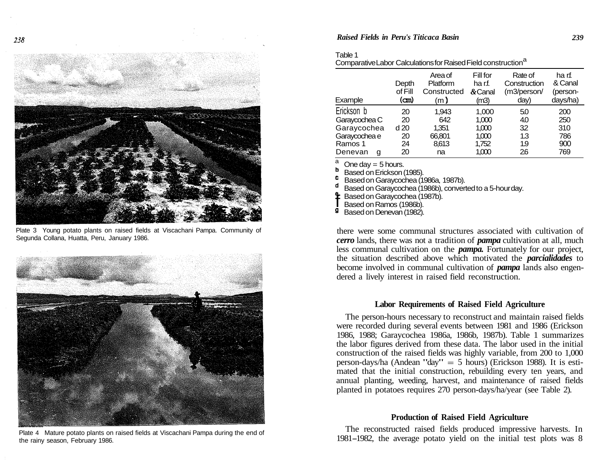

Plate 3 Young potato plants on raised fields at Viscachani Pampa. Community of Segunda Collana, Huatta, Peru, January 1986.



Plate 4 Mature potato plants on raised fields at Viscachani Pampa during the end of the rainy season, February 1986.

### *Raised Fields in Peru's Titicaca Basin 239*

| anıe |
|------|
|------|

| ComparativeLabor Calculations for Raised Field construction <sup>a</sup> |
|--------------------------------------------------------------------------|

| Example       | Depth<br>of Fill<br>(cm) | Area of<br>Platform<br>Constructed<br>(m) | Fill for<br>ha r.f.<br>$&$ Canal<br>(m3) | Rate of<br>Construction<br>(m3/person/<br>day) | ha rf.<br>& Canal<br>(person-<br>days/ha) |
|---------------|--------------------------|-------------------------------------------|------------------------------------------|------------------------------------------------|-------------------------------------------|
| Erickson b    | 20                       | 1,943                                     | 1,000                                    | 50                                             | 200                                       |
| Garaycochea C | 20                       | 642                                       | 1,000                                    | 40                                             | 250                                       |
| Garaycochea   | d <sub>20</sub>          | 1,351                                     | 1,000                                    | 32                                             | 310                                       |
| Garaycochea e | 20                       | 66,801                                    | 1,000                                    | 1.3                                            | 786                                       |
| Ramos 1       | 24                       | 8,613                                     | 1,752                                    | 1.9                                            | 900                                       |
| Denevan<br>g  | 20                       | na                                        | 1,000                                    | 26                                             | 769                                       |

 $\frac{a}{b}$  One day = 5 hours.

Based on Erickson (1985).

c BasedonGaraycochea (1986a, 1987b).

d Based onGaraycochea (1986b), convertedto a 5-hourday.

Based on Garaycochea (1987b).

Based on Ramos (1986b).<br>**9** Based on Denevan (1982)

Based on Denevan (1982).

there were some communal structures associated with cultivation of *cerro* lands, there was not a tradition of *pampa* cultivation at all, much less communal cultivation on the *pampa.* Fortunately for our project, the situation described above which motivated the *parcialidades* to become involved in communal cultivation of *pampa* lands also engendered a lively interest in raised field reconstruction.

# **Labor Requirements of Raised Field Agriculture**

The person-hours necessary to reconstruct and maintain raised fields were recorded during several events between 1981 and 1986 (Erickson 1986, 1988; Garaycochea 1986a, 1986b, 1987b). Table 1 summarizes the labor figures derived from these data. The labor used in the initial construction of the raised fields was highly variable, from 200 to 1,000 person-days/ha (Andean "day" = <sup>5</sup> hours) (Erickson 1988). It is estimated that the initial construction, rebuilding every ten years, and annual planting, weeding, harvest, and maintenance of raised fields planted in potatoes requires 270 person-days/ha/year (see Table 2).

# **Production of Raised Field Agriculture**

The reconstructed raised fields produced impressive harvests. In 1981-1982, the average potato yield on the initial test plots was <sup>8</sup>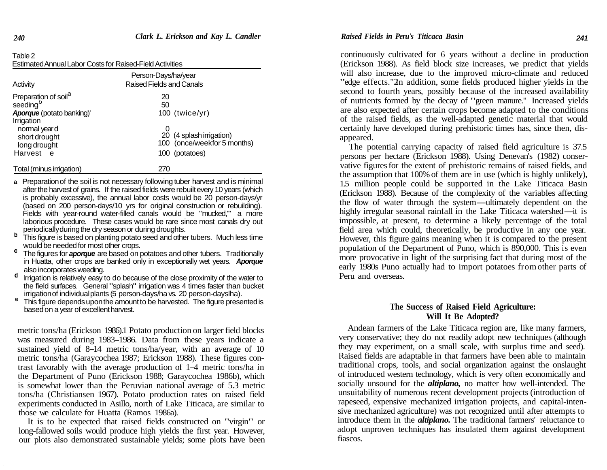| Table 2                                                         |
|-----------------------------------------------------------------|
| <b>Estimated Annual Labor Costs for Raised-Field Activities</b> |
|                                                                 |

| Activity                                                                                            | Person-Days/ha/year<br>Raised Fields and Canals                           |
|-----------------------------------------------------------------------------------------------------|---------------------------------------------------------------------------|
| Preparation of soil <sup>a</sup><br>seeding <sup>b</sup><br>Aporque (potato banking)'<br>Irrigation | 20<br>50<br>$100$ (twice/yr)                                              |
| normal year d<br>short drought<br>long drought<br>Harvest e                                         | 20 (4 splash irrigation)<br>100 (once/weekfor 5 months)<br>100 (potatoes) |
| Total (minus irrigation)                                                                            | 270                                                                       |

- **a** Preparationof the soil is not necessary following tuber harvest and is minimal after the harvest of grains. If the raised fields were rebuilt every 10 years (which is probably excessive), the annual labor costs would be 20 person-days/yr (based on 200 person-days/10 yrs for original construction or rebuilding). Fields with year-round water-filled canals would be "mucked," <sup>a</sup> more laborious procedure. These cases would be rare since most canals dry out periodicallyduringthe dry season or during droughts.
- b This figure is based on planting potato seed and other tubers. Much less time would be needed for most other crops.
- c The figures for *aporque* are based on potatoes and other tubers. Traditionally in Huatta, other crops are banked only in exceptionally wet years. *Aporque* also incorporatesweeding. d
- lrrigation is relatively easy to do because of the close proximity of the water to the field surfaces. General "splash" irrigation was 4 times faster than bucket irrigation of individual plants (5 person-days/ha vs. 20 person-days/ha).
- This figure depends upon the amount to be harvested. The figure presented is based on a year of excellent harvest.

metric tons/ha (Erickson 1986).1 Potato production on larger field blocks was measured during 1983-1986. Data from these years indicate <sup>a</sup> sustained yield of 8-14 metric tons/ha/year, with an average of <sup>10</sup> metric tons/ha (Garaycochea 1987; Erickson 1988). These figures contrast favorably with the average production of 1-4 metric tons/ha in the Department of Puno (Erickson 1988; Garaycochea 1986b), which is somewhat lower than the Peruvian national average of 5.3 metric tons/ha (Christiansen 1967). Potato production rates on raised field experiments conducted in Asillo, north of Lake Titicaca, are similar to those we calculate for Huatta (Ramos 1986a).

It is to be expected that raised fields constructed on "virgin" or long-fallowed soils would produce high yields the first year. However, our plots also demonstrated sustainable yields; some plots have been

continuously cultivated for 6 years without a decline in production (Erickson 1988). As field block size increases, we predict that yields will also increase, due to the improved micro-climate and reduced "edge effects."2In addition, some fields produced higher yields in the second to fourth years, possibly because of the increased availability of nutrients formed by the decay of "green manure." Increased yields are also expected after certain crops become adapted to the conditions of the raised fields, as the well-adapted genetic material that would certainly have developed during prehistoric times has, since then, disappeared.

The potential carrying capacity of raised field agriculture is 37.5 persons per hectare (Erickson 1988). Using Denevan's (1982) conservative figures for the extent of prehistoric remains of raised fields, and the assumption that 100%of them are in use (which is highly unlikely), 1.5 million people could be supported in the Lake Titicaca Basin (Erickson 1988). Because of the complexity of the variables affecting 1.5 million people could be supported in the Lake Titicaca Basin<br>(Erickson 1988). Because of the complexity of the variables affecting<br>the flow of water through the system—ultimately dependent on the<br>highly irregular seaso (Erickson 1988). Because of the complexity of the variables affecting<br>the flow of water through the system—ultimately dependent on the<br>highly irregular seasonal rainfall in the Lake Titicaca watershed—it is<br>impossible at p impossible, at present, to determine a likely percentage of the total field area which could, theoretically, be productive in any one year. However, this figure gains meaning when it is compared to the present population of the Department of Puno, which is 890,000. This is even more provocative in light of the surprising fact that during most of the early 1980s Puno actually had to import potatoes fromother parts of Peru and overseas.

# **The Success of Raised Field Agriculture: Will It Be Adopted?**

Andean farmers of the Lake Titicaca region are, like many farmers, very conservative; they do not readily adopt new techniques (although they may experiment, on a small scale, with surplus time and seed). Raised fields are adaptable in that farmers have been able to maintain traditional crops, tools, and social organization against the onslaught of introduced western technology, which is very often economically and socially unsound for the *altiplano,* no matter how well-intended. The unsuitability of numerous recent development projects (introduction of rapeseed, expensive mechanized irrigation projects, and capital-intensive mechanized agriculture) was not recognized until after attempts to introduce them in the *altiplano.* The traditional farmers' reluctance to adopt unproven techniques has insulated them against development fiascos.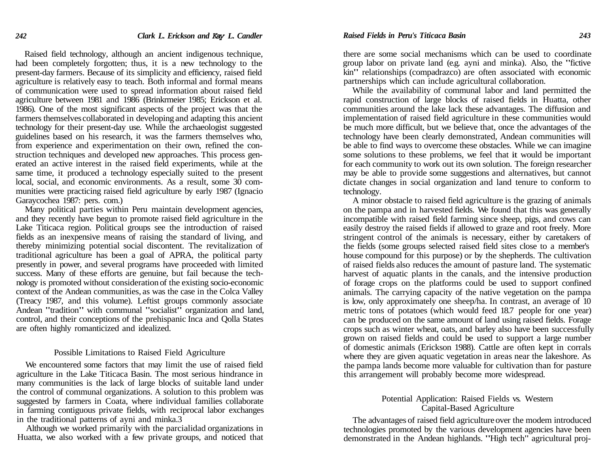Raised field technology, although an ancient indigenous technique, had been completely forgotten; thus, it is a new technology to the present-day farmers. Because of its simplicity and efficiency, raised field agriculture is relatively easy to teach. Both informal and formal means of communication were used to spread information about raised field agriculture between 1981 and 1986 (Brinkrmeier 1985; Erickson et al. 1986). One of the most significant aspects of the project was that the farmers themselves collaborated in developing and adapting this ancient technology for their present-day use. While the archaeologist suggested guidelines based on his research, it was the farmers themselves who, from experience and experimentation on their own, refined the construction techniques and developed new approaches. This process generated an active interest in the raised field experiments, while at the same time, it produced a technology especially suited to the present local, social, and economic environments. As a result, some 30 communities were practicing raised field agriculture by early 1987 (Ignacio Garaycochea 1987: pers. com.)

Many political parties within Peru maintain development agencies, and they recently have begun to promote raised field agriculture in the Lake Titicaca region. Political groups see the introduction of raised fields as an inexpensive means of raising the standard of living, and thereby minimizing potential social discontent. The revitalization of traditional agriculture has been a goal of APRA, the political party presently in power, and several programs have proceeded with limited success. Many of these efforts are genuine, but fail because the technology is promoted without consideration of the existing socio-economic context of the Andean communities, as was the case in the Colca Valley (Treacy 1987, and this volume). Leftist groups commonly associate Andean "tradition" with communal "socialist" organization and land, control, and their conceptions of the prehispanic Inca and Qolla States are often highly romanticized and idealized.

#### Possible Limitations to Raised Field Agriculture

We encountered some factors that may limit the use of raised field agriculture in the Lake Titicaca Basin. The most serious hindrance in many communities is the lack of large blocks of suitable land under the control of communal organizations. A solution to this problem was suggested by farmers in Coata, where individual families collaborate in farming contiguous private fields, with reciprocal labor exchanges in the traditional patterns of ayni and minka.3

Although we worked primarily with the parcialidad organizations in Huatta, we also worked with a few private groups, and noticed that

there are some social mechanisms which can be used to coordinate group labor on private land (e.g. ayni and minka). Also, the "fictive kin" relationships (compadrazco) are often associated with economic partnerships which can include agricultural collaboration.

While the availability of communal labor and land permitted the rapid construction of large blocks of raised fields in Huatta, other communities around the lake lack these advantages. The diffusion and implementation of raised field agriculture in these communities would be much more difficult, but we believe that, once the advantages of the technology have been clearly demonstrated, Andean communities will be able to find ways to overcome these obstacles. While we can imagine some solutions to these problems, we feel that it would be important for each community to work out its own solution. The foreign researcher may be able to provide some suggestions and alternatives, but cannot dictate changes in social organization and land tenure to conform to technology.

A minor obstacle to raised field agriculture is the grazing of animals on the pampa and in harvested fields. We found that this was generally incompatible with raised field farming since sheep, pigs, and cows can easily destroy the raised fields if allowed to graze and root freely. More stringent control of the animals is necessary, either by caretakers of the fields (some groups selected raised field sites close to a member's house compound for this purpose) or by the shepherds. The cultivation of raised fields also reduces the amount of pasture land. The systematic harvest of aquatic plants in the canals, and the intensive production of forage crops on the platforms could be used to support confined animals. The carrying capacity of the native vegetation on the pampa is low, only approximately one sheep/ha. In contrast, an average of 10 metric tons of potatoes (which would feed 18.7 people for one year) can be produced on the same amount of land using raised fields. Forage crops such as winter wheat, oats, and barley also have been successfully grown on raised fields and could be used to support a large number of domestic animals (Erickson 1988). Cattle are often kept in corrals where they are given aquatic vegetation in areas near the lakeshore. As the pampa lands become more valuable for cultivation than for pasture this arrangement will probably become more widespread.

# Potential Application: Raised Fields vs. Western Capital-Based Agriculture

The advantages of raised field agriculture over the modem introduced technologies promoted by the various development agencies have been demonstrated in the Andean highlands. "High tech" agricultural proj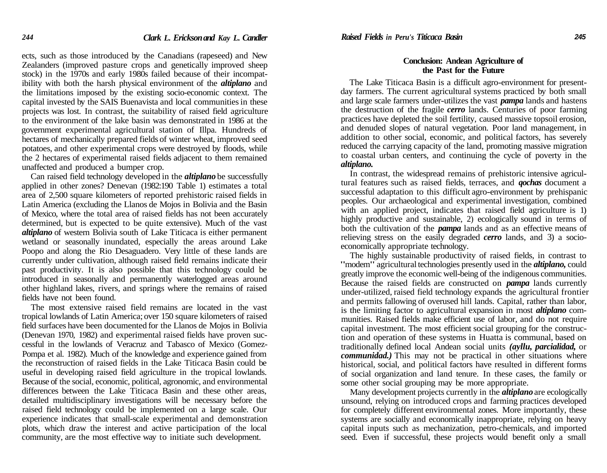ects, such as those introduced by the Canadians (rapeseed) and New Zealanders (improved pasture crops and genetically improved sheep stock) in the 1970s and early 1980s failed because of their incompatibility with both the harsh physical environment of the *altiplano* and the limitations imposed by the existing socio-economic context. The capital invested by the SAIS Buenavista and local communities in these projects was lost. In contrast, the suitability of raised field agriculture to the environment of the lake basin was demonstrated in 1986 at the government experimental agricultural station of Illpa. Hundreds of hectares of mechanically prepared fields of winter wheat, improved seed potatoes, and other experimental crops were destroyed by floods, while the 2 hectares of experimental raised fields adjacent to them remained unaffected and produced a bumper crop.

Can raised field technology developed in the *altiplano* be successfully applied in other zones? Denevan (1982:190 Table 1) estimates a total area of 2,500 square kilometers of reported prehistoric raised fields in Latin America (excluding the Llanos de Mojos in Bolivia and the Basin of Mexico, where the total area of raised fields has not been accurately determined, but is expected to be quite extensive). Much of the vast *altiplano* of western Bolivia south of Lake Titicaca is either permanent wetland or seasonally inundated, especially the areas around Lake Poopo and along the Rio Desaguadero. Very little of these lands are currently under cultivation, although raised field remains indicate their past productivity. It is also possible that this technology could be introduced in seasonally and permanently waterlogged areas around other highland lakes, rivers, and springs where the remains of raised fields have not been found.

The most extensive raised field remains are located in the vast tropical lowlands of Latin America; over 150 square kilometers of raised field surfaces have been documented for the Llanos de Mojos in Bolivia (Denevan 1970, 1982) and experimental raised fields have proven successful in the lowlands of Veracruz and Tabasco of Mexico (Gomez-Pompa et al. 1982). Much of the knowledge and experience gained from the reconstruction of raised fields in the Lake Titicaca Basin could be useful in developing raised field agriculture in the tropical lowlands. Because of the social, economic, political, agronomic, and environmental differences between the Lake Titicaca Basin and these other areas, detailed multidisciplinary investigations will be necessary before the raised field technology could be implemented on a large scale. Our experience indicates that small-scale experimental and demonstration plots, which draw the interest and active participation of the local community, are the most effective way to initiate such development.

# **Conclusion: Andean Agriculture of the Past for the Future**

The Lake Titicaca Basin is a difficult agro-environment for presentday farmers. The current agricultural systems practiced by both small and large scale farmers under-utilizes the vast *pampa* lands and hastens the destruction of the fragile *cerro* lands. Centuries of poor farming practices have depleted the soil fertility, caused massive topsoil erosion, and denuded slopes of natural vegetation. Poor land management, in addition to other social, economic, and political factors, has severely reduced the carrying capacity of the land, promoting massive migration to coastal urban centers, and continuing the cycle of poverty in the *altiplano.*

In contrast, the widespread remains of prehistoric intensive agricultural features such as raised fields, terraces, and *qochas* document a successful adaptation to this difficult agro-environment by prehispanic peoples. Our archaeological and experimental investigation, combined with an applied project, indicates that raised field agriculture is 1) highly productive and sustainable, 2) ecologically sound in terms of both the cultivation of the *pampa* lands and as an effective means of relieving stress on the easily degraded *cerro* lands, and 3) a socioeconomically appropriate technology.

The highly sustainable productivity of raised fields, in contrast to "modem" agricultural technologies presently used in the *altiplano,* could greatly improve the economic well-being of the indigenous communities. Because the raised fields are constructed on *pampa* lands currently under-utilized, raised field technology expands the agricultural frontier and permits fallowing of overused hill lands. Capital, rather than labor, is the limiting factor to agricultural expansion in most *altiplano* communities. Raised fields make efficient use of labor, and do not require capital investment. The most efficient social grouping for the construction and operation of these systems in Huatta is communal, based on traditionally defined local Andean social units *(ayllu, parcialidad,* or *communidad.)* This may not be practical in other situations where historical, social, and political factors have resulted in different forms of social organization and land tenure. In these cases, the family or some other social grouping may be more appropriate.

Many development projects currently in the *altiplano* are ecologically unsound, relying on introduced crops and farming practices developed for completely different environmental zones. More importantly, these systems are socially and economically inappropriate, relying on heavy capital inputs such as mechanization, petro-chemicals, and imported seed. Even if successful, these projects would benefit only a small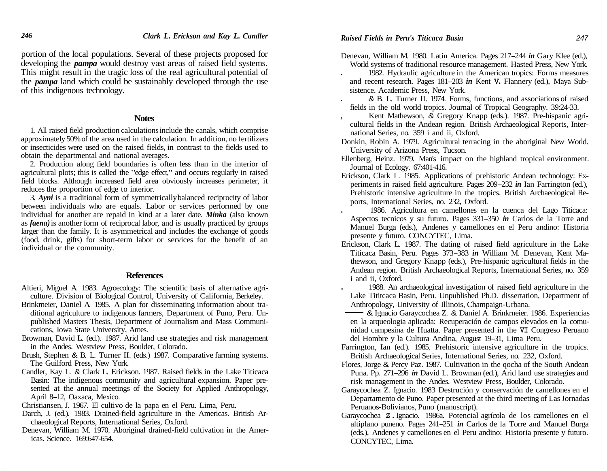portion of the local populations. Several of these projects proposed for developing the *pampa* would destroy vast areas of raised field systems. This might result in the tragic loss of the real agricultural potential of the *pampa* land which could be sustainably developed through the use of this indigenous technology.

#### **Notes**

1. All raised field production calculationsinclude the canals, which comprise approximately 50%of the area used in the calculation. In addition, no fertilizers or insecticides were used on the raised fields, in contrast to the fields used to obtain the departmental and national averages.

2. Production along field boundaries is often less than in the interior of agricultural plots; this is called the "edge effect," and occurs regularly in raised field blocks. Although increased field area obviously increases perimeter, it reduces the proportion of edge to interior.

3. *Ayni* is a traditional form of symmetricallybalanced reciprocity of labor between individuals who are equals. Labor or services performed by one individual for another are repaid in kind at a later date. *Minka* (also known as *faena)*is another form of reciprocal labor, and is usually practiced by groups larger than the family. It is asymmetrical and includes the exchange of goods (food, drink, gifts) for short-term labor or services for the benefit of an individual or the community.

# **References**

- Altieri, Miguel A. 1983. Agroecology: The scientific basis of alternative agriculture. Division of Biological Control, University of California, Berkeley.
- Brinkmeier, Daniel A. 1985. A plan for disseminating information about traditional agriculture to indigenous farmers, Department of Puno, Peru. Unpublished Masters Thesis, Department of Journalism and Mass Communications, Iowa State University, Ames.
- Browman, David L. (ed.). 1987. Arid land use strategies and risk management in the Andes. Westview Press, Boulder, Colorado.
- Brush, Stephen & B. L. Turner II. (eds.) 1987. Comparative farming systems. The Guilford Press, New York.
- Candler, Kay L. & Clark L. Erickson. 1987. Raised fields in the Lake Titicaca Basin: The indigenous community and agricultural expansion. Paper presented at the annual meetings of the Society for Applied Anthropology, April 8-12, Oaxaca, Mexico.
- Christiansen, J. 1967. El cultivo de la papa en el Peru. Lima, Peru.
- Darch, J. (ed.). 1983. Drained-field agriculture in the Americas. British Archaeological Reports, International Series, Oxford.
- Denevan, William M. 1970. Aboriginal drained-field cultivation in the Americas. Science. 169:647-654.
- Denevan, William M. 1980. Latin America. Pages 217-244 *in* Gary Klee (ed.), World systems of traditional resource management. Hasted Press, New York.
	- . 1982. Hydraulic agriculture in the American tropics: Forms measures and recent research. Pages 181-203 *in* Kent **V.** Flannery (ed.), Maya Subsistence. Academic Press, New York.
	- . & B. L. Turner II. 1974. Forms, functions, and associations of raised fields in the old world tropics. Journal of Tropical Geography. 39:24-33.
- , Kent Mathewson, & Gregory Knapp (eds.). 1987. Pre-hispanic agricultural fields in the Andean region. British Archaeological Reports, International Series, no. 359 i and ii, Oxford.
- Donkin, Robin A. 1979. Agricultural terracing in the aboriginal New World. University of Arizona Press, Tucson.
- Ellenberg, Heinz. 1979. Man's impact on the highland tropical environment. Journal of Ecology. 67:401-416.
- Erickson, Clark L. 1985. Applications of prehistoric Andean technology: Experiments in raised field agriculture. Pages 209-232 *in* Ian Farrington (ed.), Prehistoric intensive agriculture in the tropics. British Archaeological Reports, International Series, no. 232, Oxford.
	- . 1986. Agricultura en camellones en la cuenca del Lago Titicaca: Aspectos tecnicos <sup>y</sup> su futuro. Pages 331-350 *in* Carlos de la Torre and Manuel Burga (eds.), Andenes y camellones en el Peru andino: Historia presente y futuro. CONCYTEC, Lima.
- Erickson, Clark L. 1987. The dating of raised field agriculture in the Lake Titicaca Basin, Peru. Pages 373-383 *in* William M. Denevan, Kent Mathewson, and Gregory Knapp (eds.), Pre-hispanic agricultural fields in the Andean region. British Archaeological Reports, International Series, no. 359 i and ii, Oxford.
- . 1988. An archaeological investigation of raised field agriculture in the Lake Tititcaca Basin, Peru. Unpublished Ph.D. dissertation, Department of Anthropology, University of Illinois, Champaign-Urbana.<br> **- & Algunacio Garaycochea Z. & Daniel A. Brinkmeier.** 1986. Experiencias thewson, and Gregory Knapp (eds.), Pre-hispanic agricultural fields in the<br>Andean region. British Archaeological Reports, International Series, no. 359<br>i and ii, Oxford.<br>1988. An archaeological investigation of raised fiel
- en la arqueologia aplicada: Recuperación de campos elevados en la comunidad campesina de Huatta. Paper presented in the **VI** Congreso Peruano del Hombre <sup>y</sup> la Cultura Andina, August 19-31, Lima Peru.
- Farrington, Ian (ed.). 1985. Prehistoric intensive agriculture in the tropics. British Archaeological Series, International Series, no. 232, Oxford.
- Flores, Jorge & Percy Paz. 1987. Cultivation in the qocha of the South Andean Puna. Pp. 271-296 *in* David L. Browman (ed.), Arid land use strategies and risk management in the Andes. Westview Press, Boulder, Colorado.
- Garaycochea Z. Ignacio. 1983 Destrución y conservación de camellones en el Departamento de Puno. Paper presented at the third meeting of Las Jornadas Peruanos-Bolivianos, Puno (manuscript).
- Garaycochea *Z.*Ignacio. 1986a. Potencial agrícola de los camellones en el altiplano puneno. Pages 241-251 *in* Carlos de la Torre and Manuel Burga (eds.), Andenes y camellones en el Peru andino: Historia presente y futuro. CONCYTEC, Lima.